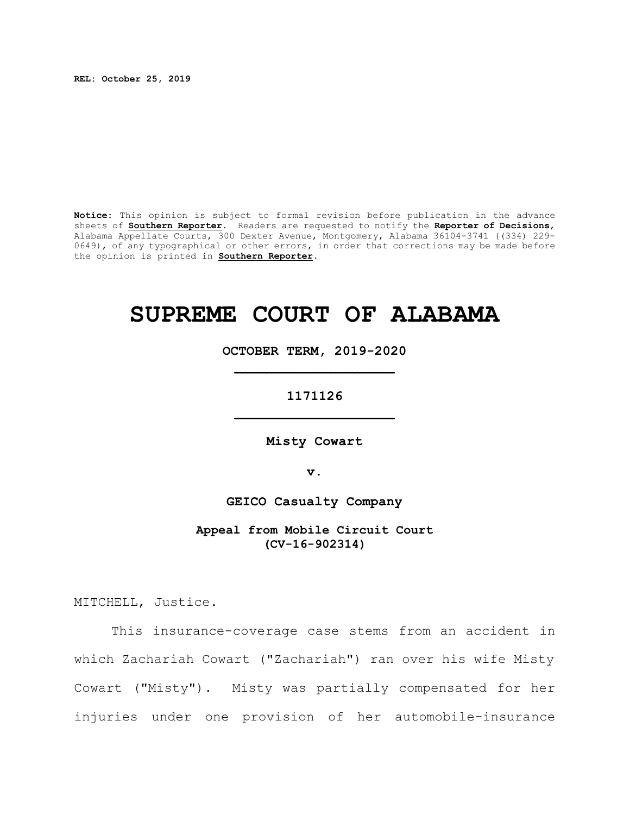**REL: October 25, 2019**

**Notice:** This opinion is subject to formal revision before publication in the advance sheets of **Southern Reporter**. Readers are requested to notify the **Reporter of Decisions**, Alabama Appellate Courts, 300 Dexter Avenue, Montgomery, Alabama 36104-3741 ((334) 229- 0649), of any typographical or other errors, in order that corrections may be made before the opinion is printed in **Southern Reporter**.

# **SUPREME COURT OF ALABAMA**

**OCTOBER TERM, 2019-2020 \_\_\_\_\_\_\_\_\_\_\_\_\_\_\_\_\_\_\_\_**

**1171126 \_\_\_\_\_\_\_\_\_\_\_\_\_\_\_\_\_\_\_\_**

**Misty Cowart**

**v.**

**GEICO Casualty Company**

**Appeal from Mobile Circuit Court (CV-16-902314)**

MITCHELL, Justice.

This insurance-coverage case stems from an accident in which Zachariah Cowart ("Zachariah") ran over his wife Misty Cowart ("Misty"). Misty was partially compensated for her injuries under one provision of her automobile-insurance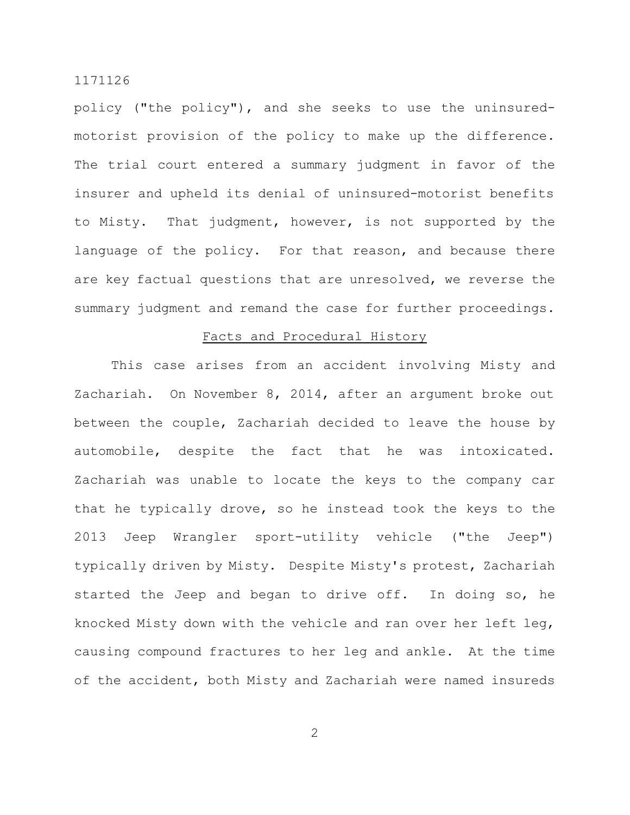policy ("the policy"), and she seeks to use the uninsuredmotorist provision of the policy to make up the difference. The trial court entered a summary judgment in favor of the insurer and upheld its denial of uninsured-motorist benefits to Misty. That judgment, however, is not supported by the language of the policy. For that reason, and because there are key factual questions that are unresolved, we reverse the summary judgment and remand the case for further proceedings.

## Facts and Procedural History

This case arises from an accident involving Misty and Zachariah. On November 8, 2014, after an argument broke out between the couple, Zachariah decided to leave the house by automobile, despite the fact that he was intoxicated. Zachariah was unable to locate the keys to the company car that he typically drove, so he instead took the keys to the 2013 Jeep Wrangler sport-utility vehicle ("the Jeep") typically driven by Misty. Despite Misty's protest, Zachariah started the Jeep and began to drive off. In doing so, he knocked Misty down with the vehicle and ran over her left leg, causing compound fractures to her leg and ankle. At the time of the accident, both Misty and Zachariah were named insureds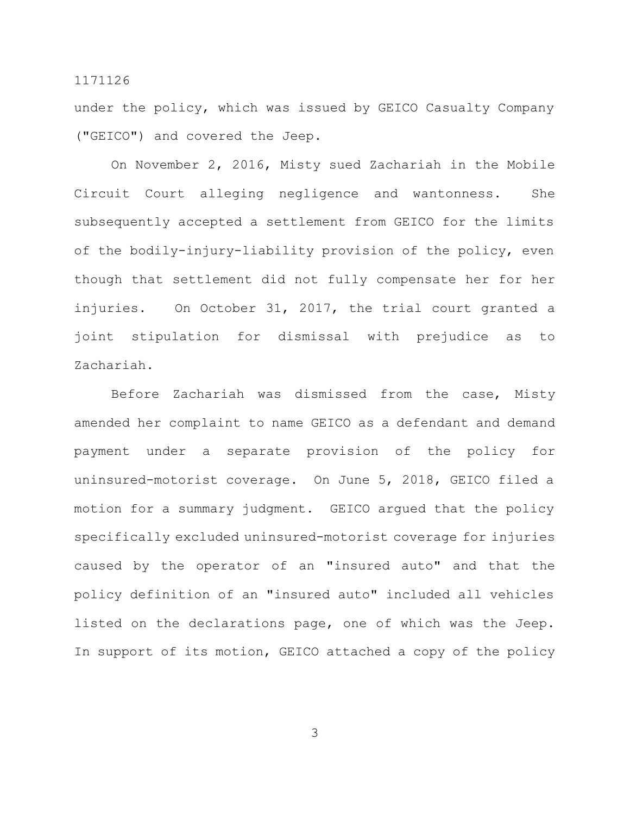under the policy, which was issued by GEICO Casualty Company ("GEICO") and covered the Jeep.

On November 2, 2016, Misty sued Zachariah in the Mobile Circuit Court alleging negligence and wantonness. She subsequently accepted a settlement from GEICO for the limits of the bodily-injury-liability provision of the policy, even though that settlement did not fully compensate her for her injuries. On October 31, 2017, the trial court granted a joint stipulation for dismissal with prejudice as to Zachariah.

Before Zachariah was dismissed from the case, Misty amended her complaint to name GEICO as a defendant and demand payment under a separate provision of the policy for uninsured-motorist coverage. On June 5, 2018, GEICO filed a motion for a summary judgment. GEICO argued that the policy specifically excluded uninsured-motorist coverage for injuries caused by the operator of an "insured auto" and that the policy definition of an "insured auto" included all vehicles listed on the declarations page, one of which was the Jeep. In support of its motion, GEICO attached a copy of the policy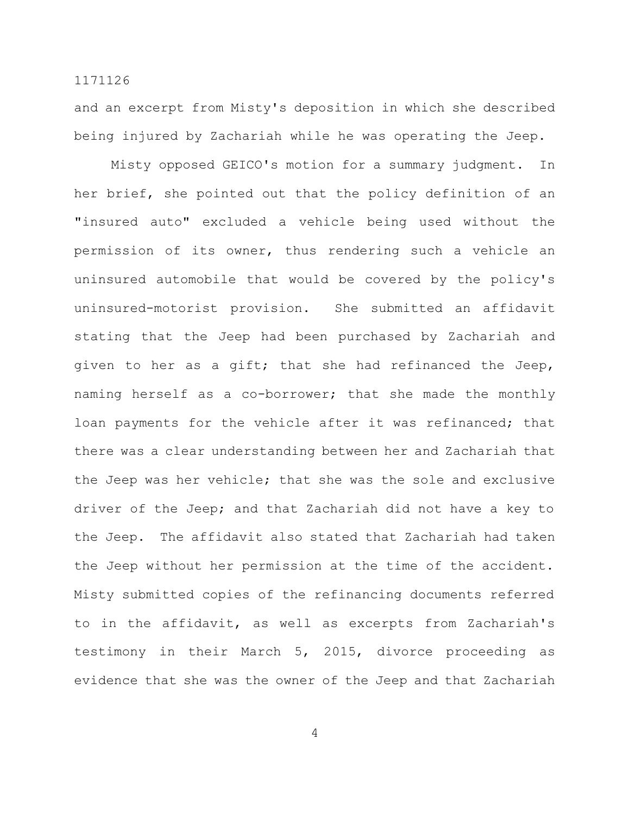and an excerpt from Misty's deposition in which she described being injured by Zachariah while he was operating the Jeep.

Misty opposed GEICO's motion for a summary judgment. In her brief, she pointed out that the policy definition of an "insured auto" excluded a vehicle being used without the permission of its owner, thus rendering such a vehicle an uninsured automobile that would be covered by the policy's uninsured-motorist provision. She submitted an affidavit stating that the Jeep had been purchased by Zachariah and given to her as a gift; that she had refinanced the Jeep, naming herself as a co-borrower; that she made the monthly loan payments for the vehicle after it was refinanced; that there was a clear understanding between her and Zachariah that the Jeep was her vehicle; that she was the sole and exclusive driver of the Jeep; and that Zachariah did not have a key to the Jeep. The affidavit also stated that Zachariah had taken the Jeep without her permission at the time of the accident. Misty submitted copies of the refinancing documents referred to in the affidavit, as well as excerpts from Zachariah's testimony in their March 5, 2015, divorce proceeding as evidence that she was the owner of the Jeep and that Zachariah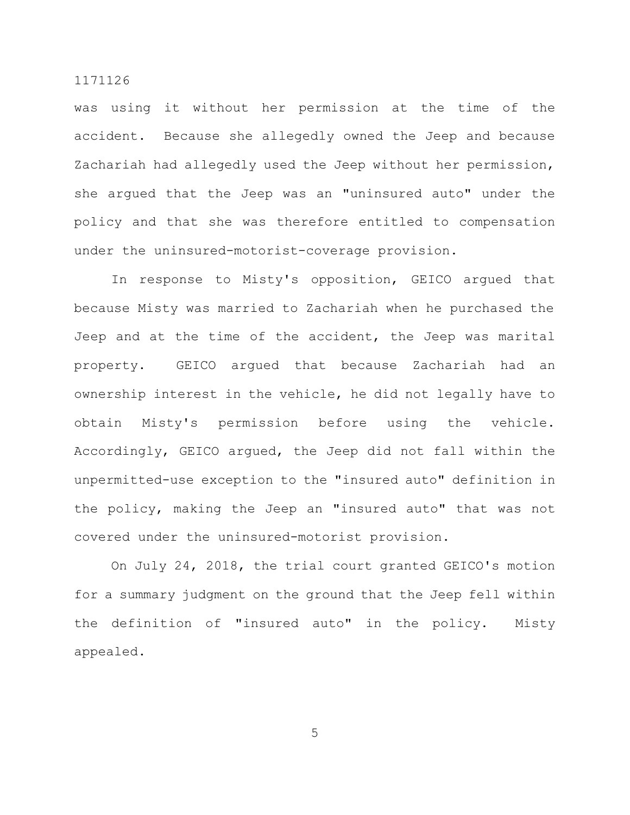was using it without her permission at the time of the accident. Because she allegedly owned the Jeep and because Zachariah had allegedly used the Jeep without her permission, she argued that the Jeep was an "uninsured auto" under the policy and that she was therefore entitled to compensation under the uninsured-motorist-coverage provision.

In response to Misty's opposition, GEICO argued that because Misty was married to Zachariah when he purchased the Jeep and at the time of the accident, the Jeep was marital property. GEICO argued that because Zachariah had an ownership interest in the vehicle, he did not legally have to obtain Misty's permission before using the vehicle. Accordingly, GEICO argued, the Jeep did not fall within the unpermitted-use exception to the "insured auto" definition in the policy, making the Jeep an "insured auto" that was not covered under the uninsured-motorist provision.

On July 24, 2018, the trial court granted GEICO's motion for a summary judgment on the ground that the Jeep fell within the definition of "insured auto" in the policy. Misty appealed.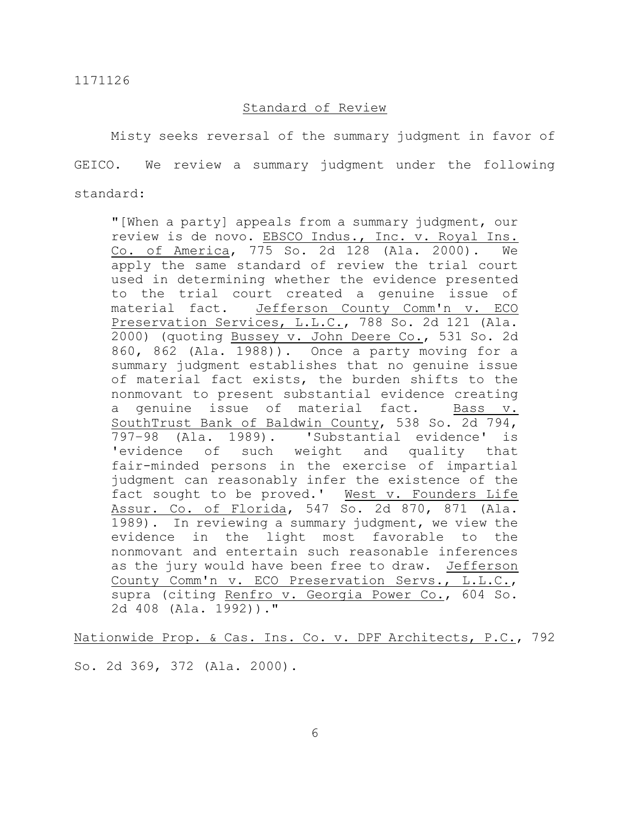#### Standard of Review

Misty seeks reversal of the summary judgment in favor of GEICO. We review a summary judgment under the following standard:

"[When a party] appeals from a summary judgment, our review is de novo. EBSCO Indus., Inc. v. Royal Ins. Co. of America, 775 So. 2d 128 (Ala. 2000). We apply the same standard of review the trial court used in determining whether the evidence presented to the trial court created a genuine issue of material fact. Jefferson County Comm'n v. ECO Preservation Services, L.L.C., 788 So. 2d 121 (Ala. 2000) (quoting Bussey v. John Deere Co., 531 So. 2d 860, 862 (Ala. 1988)). Once a party moving for a summary judgment establishes that no genuine issue of material fact exists, the burden shifts to the nonmovant to present substantial evidence creating a genuine issue of material fact. Bass v. SouthTrust Bank of Baldwin County, 538 So. 2d 794, 797–98 (Ala. 1989). 'Substantial evidence' is 'evidence of such weight and quality that fair-minded persons in the exercise of impartial judgment can reasonably infer the existence of the fact sought to be proved.' West v. Founders Life Assur. Co. of Florida, 547 So. 2d 870, 871 (Ala. 1989). In reviewing a summary judgment, we view the evidence in the light most favorable to the nonmovant and entertain such reasonable inferences as the jury would have been free to draw. Jefferson County Comm'n v. ECO Preservation Servs., L.L.C., supra (citing Renfro v. Georgia Power Co., 604 So. 2d 408 (Ala. 1992))."

Nationwide Prop. & Cas. Ins. Co. v. DPF Architects, P.C., 792

So. 2d 369, 372 (Ala. 2000).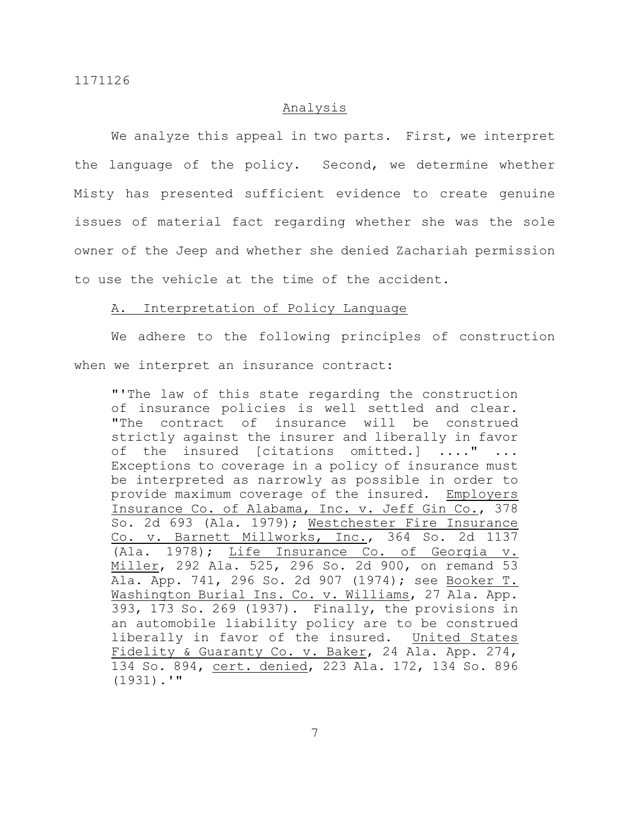## Analysis

We analyze this appeal in two parts. First, we interpret the language of the policy. Second, we determine whether Misty has presented sufficient evidence to create genuine issues of material fact regarding whether she was the sole owner of the Jeep and whether she denied Zachariah permission to use the vehicle at the time of the accident.

## A. Interpretation of Policy Language

We adhere to the following principles of construction when we interpret an insurance contract:

"'The law of this state regarding the construction of insurance policies is well settled and clear. "The contract of insurance will be construed strictly against the insurer and liberally in favor of the insured [citations omitted.] ...." ... Exceptions to coverage in a policy of insurance must be interpreted as narrowly as possible in order to provide maximum coverage of the insured. Employers Insurance Co. of Alabama, Inc. v. Jeff Gin Co., 378 So. 2d 693 (Ala. 1979); Westchester Fire Insurance Co. v. Barnett Millworks, Inc., 364 So. 2d 1137 (Ala. 1978); Life Insurance Co. of Georgia v. Miller, 292 Ala. 525, 296 So. 2d 900, on remand 53 Ala. App. 741, 296 So. 2d 907 (1974); see Booker T. Washington Burial Ins. Co. v. Williams, 27 Ala. App. 393, 173 So. 269 (1937). Finally, the provisions in an automobile liability policy are to be construed liberally in favor of the insured. United States Fidelity & Guaranty Co. v. Baker, 24 Ala. App. 274, 134 So. 894, cert. denied, 223 Ala. 172, 134 So. 896 (1931).'"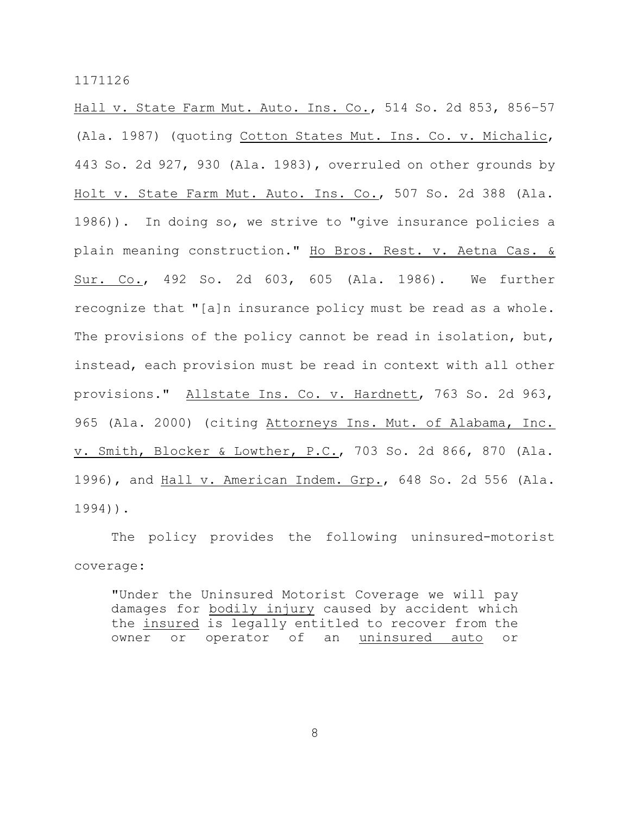Hall v. State Farm Mut. Auto. Ins. Co., 514 So. 2d 853, 856–57 (Ala. 1987) (quoting Cotton States Mut. Ins. Co. v. Michalic, 443 So. 2d 927, 930 (Ala. 1983), overruled on other grounds by Holt v. State Farm Mut. Auto. Ins. Co., 507 So. 2d 388 (Ala. 1986)). In doing so, we strive to "give insurance policies a plain meaning construction." Ho Bros. Rest. v. Aetna Cas. & Sur. Co., 492 So. 2d 603, 605 (Ala. 1986). We further recognize that "[a]n insurance policy must be read as a whole. The provisions of the policy cannot be read in isolation, but, instead, each provision must be read in context with all other provisions." Allstate Ins. Co. v. Hardnett, 763 So. 2d 963, 965 (Ala. 2000) (citing Attorneys Ins. Mut. of Alabama, Inc. v. Smith, Blocker & Lowther, P.C., 703 So. 2d 866, 870 (Ala. 1996), and Hall v. American Indem. Grp., 648 So. 2d 556 (Ala. 1994)).

The policy provides the following uninsured-motorist coverage:

"Under the Uninsured Motorist Coverage we will pay damages for bodily injury caused by accident which the insured is legally entitled to recover from the owner or operator of an uninsured auto or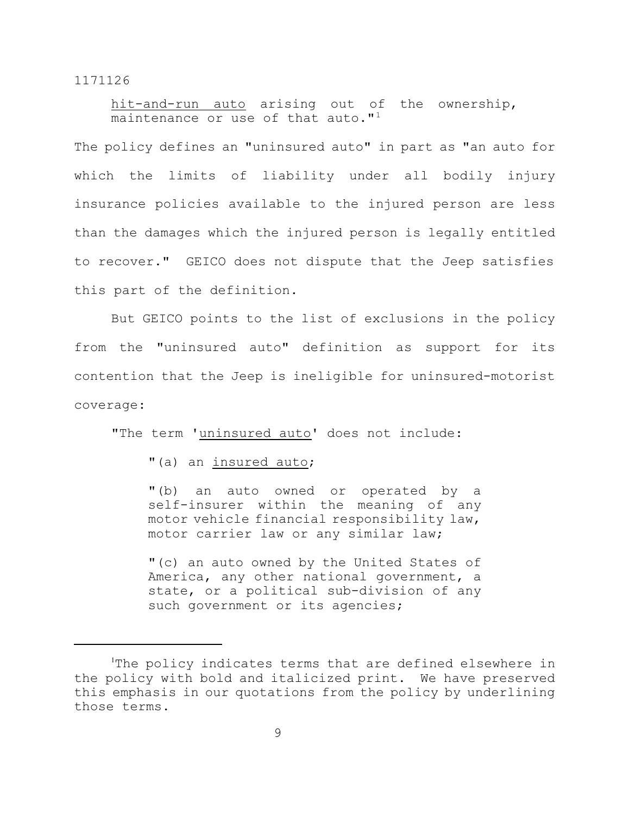hit-and-run auto arising out of the ownership, maintenance or use of that auto." $1$ 

The policy defines an "uninsured auto" in part as "an auto for which the limits of liability under all bodily injury insurance policies available to the injured person are less than the damages which the injured person is legally entitled to recover." GEICO does not dispute that the Jeep satisfies this part of the definition.

But GEICO points to the list of exclusions in the policy from the "uninsured auto" definition as support for its contention that the Jeep is ineligible for uninsured-motorist coverage:

"The term 'uninsured auto' does not include:

"(a) an insured auto;

"(b) an auto owned or operated by a self-insurer within the meaning of any motor vehicle financial responsibility law, motor carrier law or any similar law;

"(c) an auto owned by the United States of America, any other national government, a state, or a political sub-division of any such government or its agencies;

The policy indicates terms that are defined elsewhere in the policy with bold and italicized print. We have preserved this emphasis in our quotations from the policy by underlining those terms.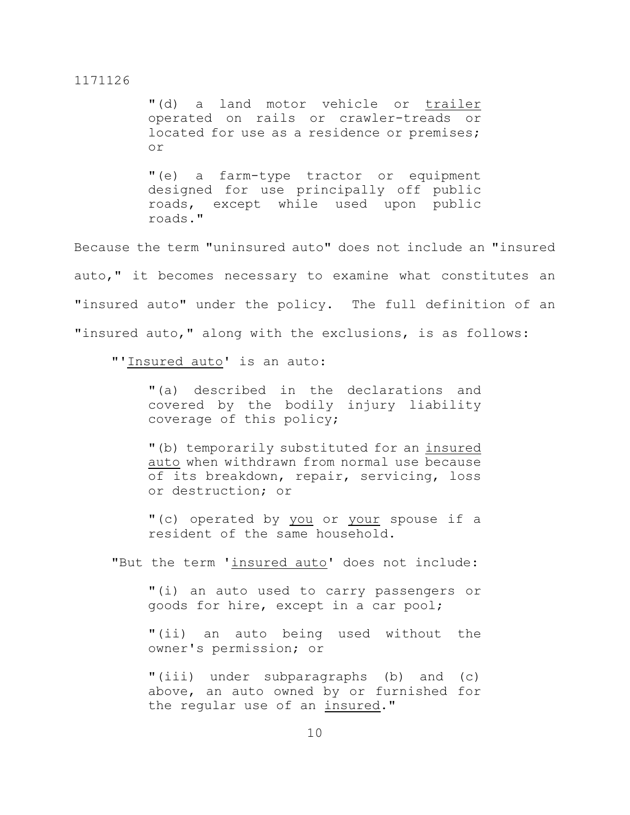"(d) a land motor vehicle or trailer operated on rails or crawler-treads or located for use as a residence or premises; or

"(e) a farm-type tractor or equipment designed for use principally off public roads, except while used upon public roads."

Because the term "uninsured auto" does not include an "insured auto," it becomes necessary to examine what constitutes an "insured auto" under the policy. The full definition of an "insured auto," along with the exclusions, is as follows:

"'Insured auto' is an auto:

"(a) described in the declarations and covered by the bodily injury liability coverage of this policy;

"(b) temporarily substituted for an insured auto when withdrawn from normal use because of its breakdown, repair, servicing, loss or destruction; or

"(c) operated by you or your spouse if a resident of the same household.

"But the term 'insured auto' does not include:

"(i) an auto used to carry passengers or goods for hire, except in a car pool;

"(ii) an auto being used without the owner's permission; or

"(iii) under subparagraphs (b) and (c) above, an auto owned by or furnished for the regular use of an insured."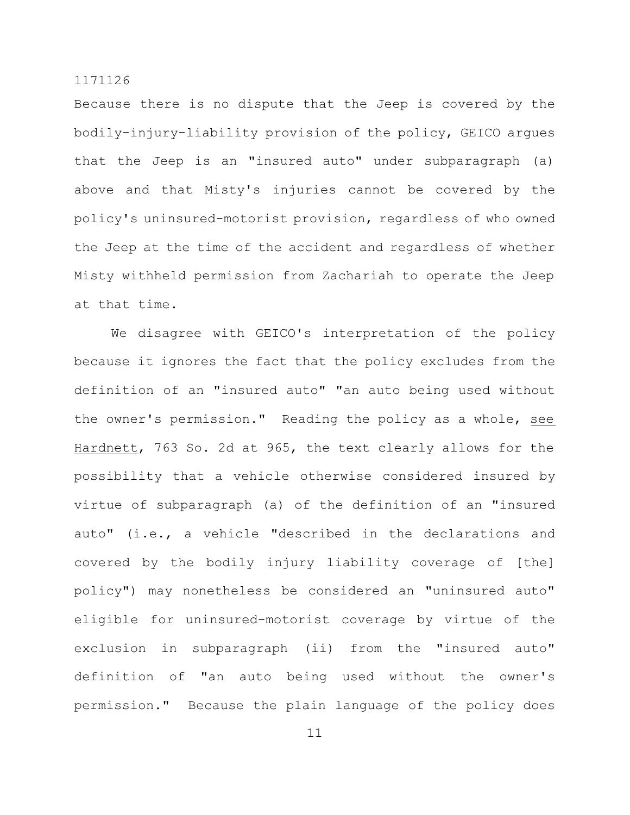Because there is no dispute that the Jeep is covered by the bodily-injury-liability provision of the policy, GEICO argues that the Jeep is an "insured auto" under subparagraph (a) above and that Misty's injuries cannot be covered by the policy's uninsured-motorist provision, regardless of who owned the Jeep at the time of the accident and regardless of whether Misty withheld permission from Zachariah to operate the Jeep at that time.

We disagree with GEICO's interpretation of the policy because it ignores the fact that the policy excludes from the definition of an "insured auto" "an auto being used without the owner's permission." Reading the policy as a whole, see Hardnett, 763 So. 2d at 965, the text clearly allows for the possibility that a vehicle otherwise considered insured by virtue of subparagraph (a) of the definition of an "insured auto" (i.e., a vehicle "described in the declarations and covered by the bodily injury liability coverage of [the] policy") may nonetheless be considered an "uninsured auto" eligible for uninsured-motorist coverage by virtue of the exclusion in subparagraph (ii) from the "insured auto" definition of "an auto being used without the owner's permission." Because the plain language of the policy does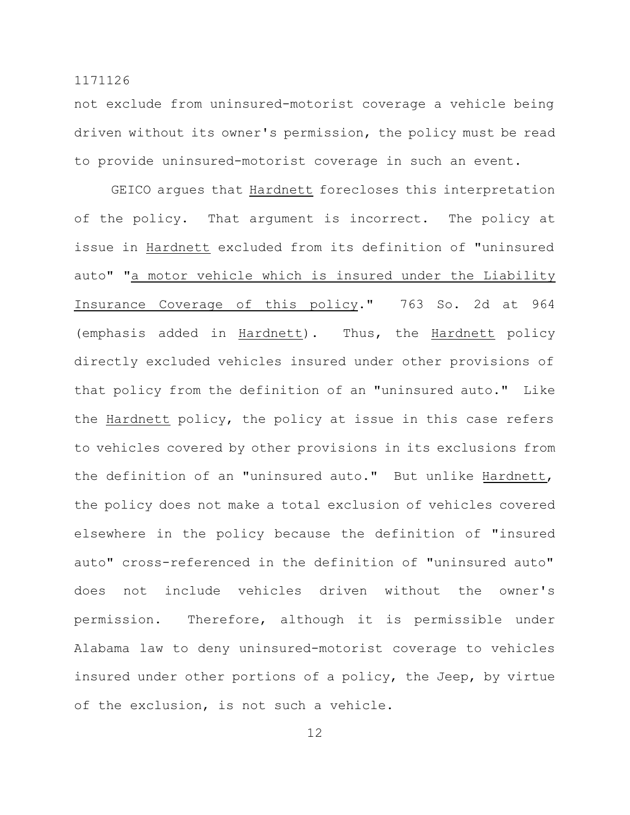not exclude from uninsured-motorist coverage a vehicle being driven without its owner's permission, the policy must be read to provide uninsured-motorist coverage in such an event.

GEICO argues that Hardnett forecloses this interpretation of the policy. That argument is incorrect. The policy at issue in Hardnett excluded from its definition of "uninsured auto" "a motor vehicle which is insured under the Liability Insurance Coverage of this policy." 763 So. 2d at 964 (emphasis added in Hardnett). Thus, the Hardnett policy directly excluded vehicles insured under other provisions of that policy from the definition of an "uninsured auto." Like the Hardnett policy, the policy at issue in this case refers to vehicles covered by other provisions in its exclusions from the definition of an "uninsured auto." But unlike Hardnett, the policy does not make a total exclusion of vehicles covered elsewhere in the policy because the definition of "insured auto" cross-referenced in the definition of "uninsured auto" does not include vehicles driven without the owner's permission. Therefore, although it is permissible under Alabama law to deny uninsured-motorist coverage to vehicles insured under other portions of a policy, the Jeep, by virtue of the exclusion, is not such a vehicle.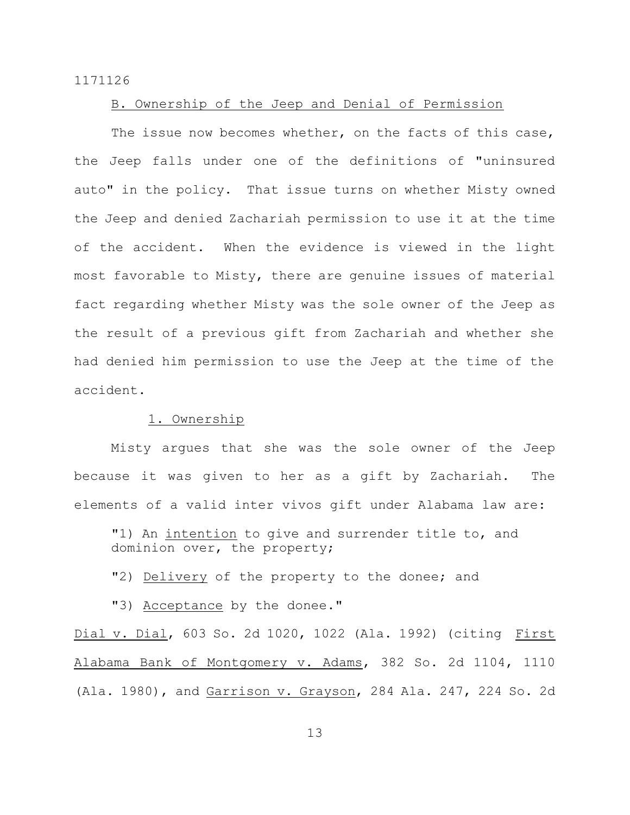## B. Ownership of the Jeep and Denial of Permission

The issue now becomes whether, on the facts of this case, the Jeep falls under one of the definitions of "uninsured auto" in the policy. That issue turns on whether Misty owned the Jeep and denied Zachariah permission to use it at the time of the accident. When the evidence is viewed in the light most favorable to Misty, there are genuine issues of material fact regarding whether Misty was the sole owner of the Jeep as the result of a previous gift from Zachariah and whether she had denied him permission to use the Jeep at the time of the accident.

# 1. Ownership

Misty argues that she was the sole owner of the Jeep because it was given to her as a gift by Zachariah. The elements of a valid inter vivos gift under Alabama law are:

"1) An intention to give and surrender title to, and dominion over, the property;

"2) Delivery of the property to the donee; and

"3) Acceptance by the donee."

Dial v. Dial, 603 So. 2d 1020, 1022 (Ala. 1992) (citing First Alabama Bank of Montgomery v. Adams, 382 So. 2d 1104, 1110 (Ala. 1980), and Garrison v. Grayson, 284 Ala. 247, 224 So. 2d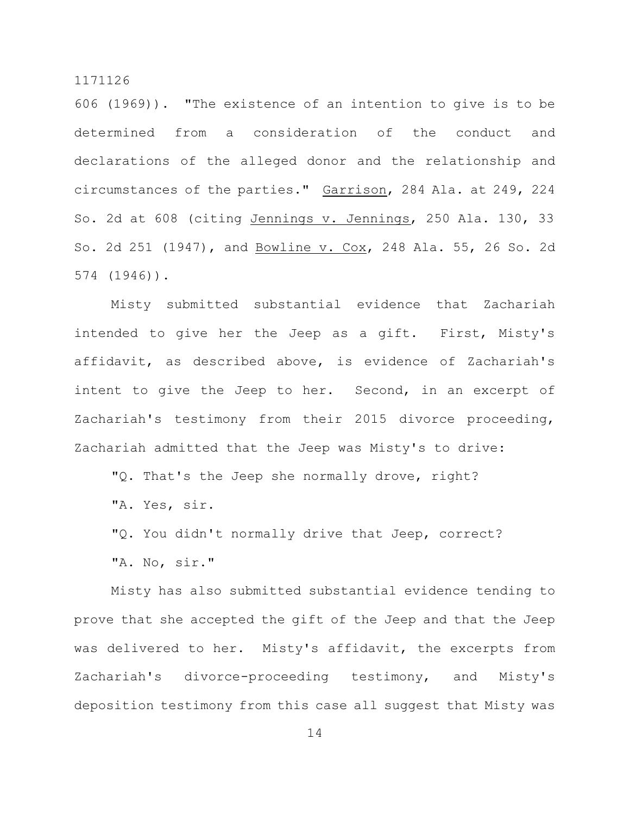606 (1969)). "The existence of an intention to give is to be determined from a consideration of the conduct and declarations of the alleged donor and the relationship and circumstances of the parties." Garrison, 284 Ala. at 249, 224 So. 2d at 608 (citing Jennings v. Jennings, 250 Ala. 130, 33 So. 2d 251 (1947), and Bowline v. Cox, 248 Ala. 55, 26 So. 2d 574 (1946)).

Misty submitted substantial evidence that Zachariah intended to give her the Jeep as a gift. First, Misty's affidavit, as described above, is evidence of Zachariah's intent to give the Jeep to her. Second, in an excerpt of Zachariah's testimony from their 2015 divorce proceeding, Zachariah admitted that the Jeep was Misty's to drive:

"Q. That's the Jeep she normally drove, right?

"A. Yes, sir.

"Q. You didn't normally drive that Jeep, correct?

"A. No, sir."

Misty has also submitted substantial evidence tending to prove that she accepted the gift of the Jeep and that the Jeep was delivered to her. Misty's affidavit, the excerpts from Zachariah's divorce-proceeding testimony, and Misty's deposition testimony from this case all suggest that Misty was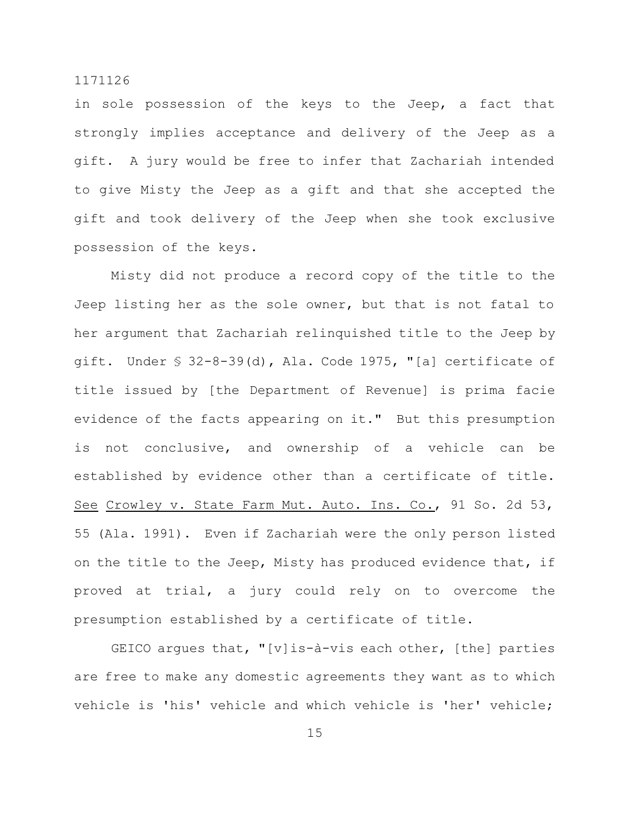in sole possession of the keys to the Jeep, a fact that strongly implies acceptance and delivery of the Jeep as a gift. A jury would be free to infer that Zachariah intended to give Misty the Jeep as a gift and that she accepted the gift and took delivery of the Jeep when she took exclusive possession of the keys.

Misty did not produce a record copy of the title to the Jeep listing her as the sole owner, but that is not fatal to her argument that Zachariah relinquished title to the Jeep by gift. Under § 32-8-39(d), Ala. Code 1975, "[a] certificate of title issued by [the Department of Revenue] is prima facie evidence of the facts appearing on it." But this presumption is not conclusive, and ownership of a vehicle can be established by evidence other than a certificate of title. See Crowley v. State Farm Mut. Auto. Ins. Co., 91 So. 2d 53, 55 (Ala. 1991). Even if Zachariah were the only person listed on the title to the Jeep, Misty has produced evidence that, if proved at trial, a jury could rely on to overcome the presumption established by a certificate of title.

GEICO argues that, "[v]is-à-vis each other, [the] parties are free to make any domestic agreements they want as to which vehicle is 'his' vehicle and which vehicle is 'her' vehicle;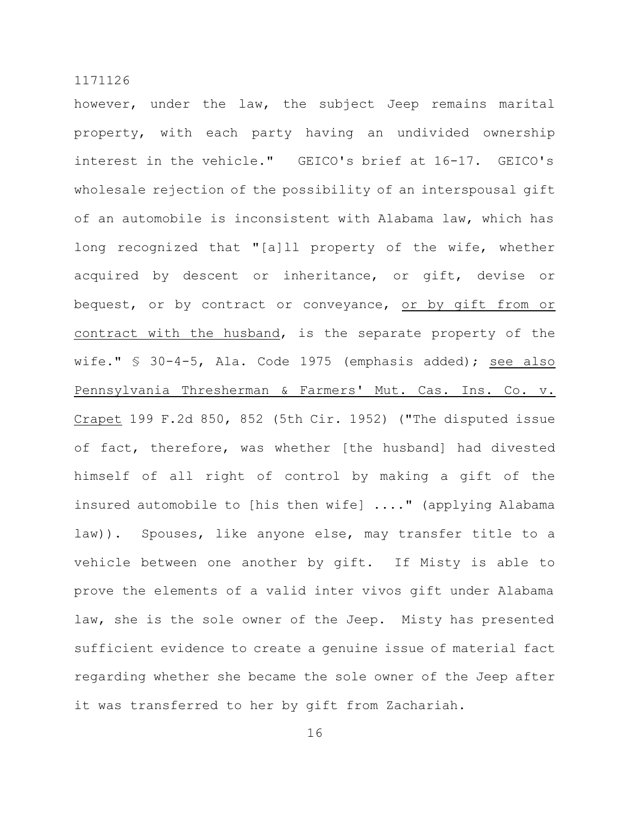however, under the law, the subject Jeep remains marital property, with each party having an undivided ownership interest in the vehicle." GEICO's brief at 16-17. GEICO's wholesale rejection of the possibility of an interspousal gift of an automobile is inconsistent with Alabama law, which has long recognized that "[a]ll property of the wife, whether acquired by descent or inheritance, or gift, devise or bequest, or by contract or conveyance, or by gift from or contract with the husband, is the separate property of the wife." § 30-4-5, Ala. Code 1975 (emphasis added); see also Pennsylvania Thresherman & Farmers' Mut. Cas. Ins. Co. v. Crapet 199 F.2d 850, 852 (5th Cir. 1952) ("The disputed issue of fact, therefore, was whether [the husband] had divested himself of all right of control by making a gift of the insured automobile to [his then wife] ...." (applying Alabama law)). Spouses, like anyone else, may transfer title to a vehicle between one another by gift. If Misty is able to prove the elements of a valid inter vivos gift under Alabama law, she is the sole owner of the Jeep. Misty has presented sufficient evidence to create a genuine issue of material fact regarding whether she became the sole owner of the Jeep after it was transferred to her by gift from Zachariah.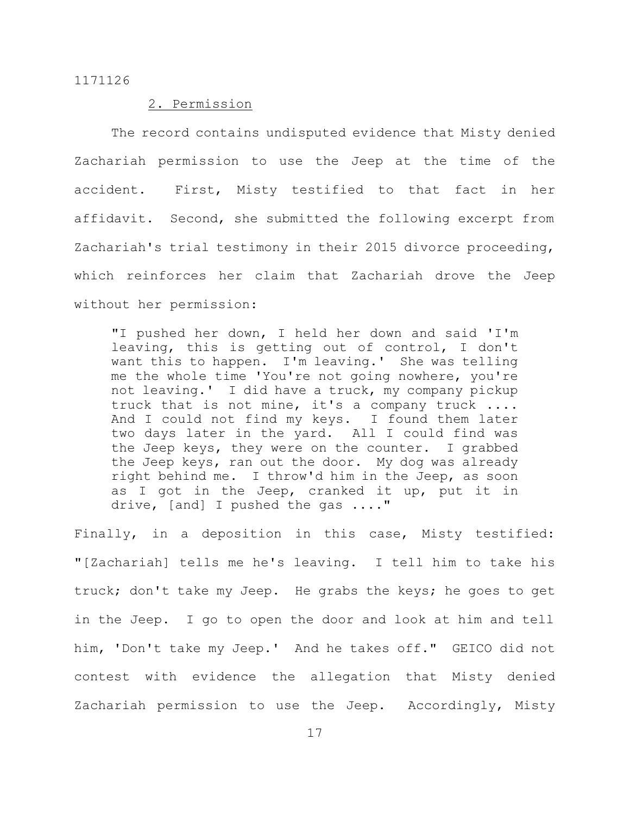## 2. Permission

The record contains undisputed evidence that Misty denied Zachariah permission to use the Jeep at the time of the accident. First, Misty testified to that fact in her affidavit. Second, she submitted the following excerpt from Zachariah's trial testimony in their 2015 divorce proceeding, which reinforces her claim that Zachariah drove the Jeep without her permission:

"I pushed her down, I held her down and said 'I'm leaving, this is getting out of control, I don't want this to happen. I'm leaving.' She was telling me the whole time 'You're not going nowhere, you're not leaving.' I did have a truck, my company pickup truck that is not mine, it's a company truck .... And I could not find my keys. I found them later two days later in the yard. All I could find was the Jeep keys, they were on the counter. I grabbed the Jeep keys, ran out the door. My dog was already right behind me. I throw'd him in the Jeep, as soon as I got in the Jeep, cranked it up, put it in drive, [and] I pushed the gas ...."

Finally, in a deposition in this case, Misty testified: "[Zachariah] tells me he's leaving. I tell him to take his truck; don't take my Jeep. He grabs the keys; he goes to get in the Jeep. I go to open the door and look at him and tell him, 'Don't take my Jeep.' And he takes off." GEICO did not contest with evidence the allegation that Misty denied Zachariah permission to use the Jeep. Accordingly, Misty